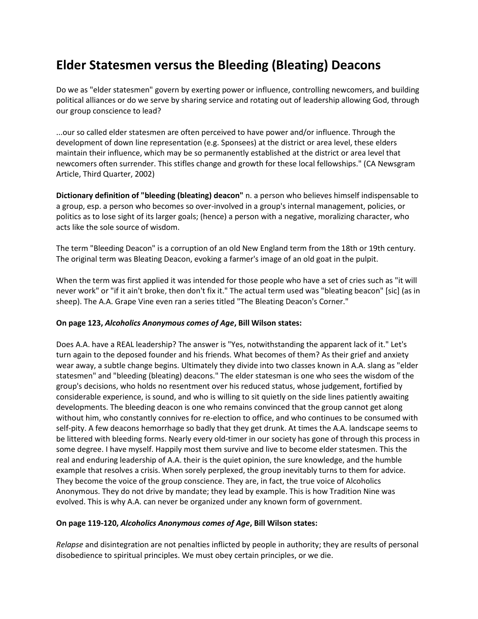## **Elder Statesmen versus the Bleeding (Bleating) Deacons**

Do we as "elder statesmen" govern by exerting power or influence, controlling newcomers, and building political alliances or do we serve by sharing service and rotating out of leadership allowing God, through our group conscience to lead?

...our so called elder statesmen are often perceived to have power and/or influence. Through the development of down line representation (e.g. Sponsees) at the district or area level, these elders maintain their influence, which may be so permanently established at the district or area level that newcomers often surrender. This stifles change and growth for these local fellowships." (CA Newsgram Article, Third Quarter, 2002)

**Dictionary definition of "bleeding (bleating) deacon"** n. a person who believes himself indispensable to a group, esp. a person who becomes so over-involved in a group's internal management, policies, or politics as to lose sight of its larger goals; (hence) a person with a negative, moralizing character, who acts like the sole source of wisdom.

The term "Bleeding Deacon" is a corruption of an old New England term from the 18th or 19th century. The original term was Bleating Deacon, evoking a farmer's image of an old goat in the pulpit.

When the term was first applied it was intended for those people who have a set of cries such as "it will never work" or "if it ain't broke, then don't fix it." The actual term used was "bleating beacon" [sic] (as in sheep). The A.A. Grape Vine even ran a series titled "The Bleating Deacon's Corner."

## **On page 123,** *Alcoholics Anonymous comes of Age***, Bill Wilson states:**

Does A.A. have a REAL leadership? The answer is "Yes, notwithstanding the apparent lack of it." Let's turn again to the deposed founder and his friends. What becomes of them? As their grief and anxiety wear away, a subtle change begins. Ultimately they divide into two classes known in A.A. slang as "elder statesmen" and "bleeding (bleating) deacons." The elder statesman is one who sees the wisdom of the group's decisions, who holds no resentment over his reduced status, whose judgement, fortified by considerable experience, is sound, and who is willing to sit quietly on the side lines patiently awaiting developments. The bleeding deacon is one who remains convinced that the group cannot get along without him, who constantly connives for re-election to office, and who continues to be consumed with self-pity. A few deacons hemorrhage so badly that they get drunk. At times the A.A. landscape seems to be littered with bleeding forms. Nearly every old-timer in our society has gone of through this process in some degree. I have myself. Happily most them survive and live to become elder statesmen. This the real and enduring leadership of A.A. their is the quiet opinion, the sure knowledge, and the humble example that resolves a crisis. When sorely perplexed, the group inevitably turns to them for advice. They become the voice of the group conscience. They are, in fact, the true voice of Alcoholics Anonymous. They do not drive by mandate; they lead by example. This is how Tradition Nine was evolved. This is why A.A. can never be organized under any known form of government.

## **On page 119-120,** *Alcoholics Anonymous comes of Age***, Bill Wilson states:**

*Relapse* and disintegration are not penalties inflicted by people in authority; they are results of personal disobedience to spiritual principles. We must obey certain principles, or we die.